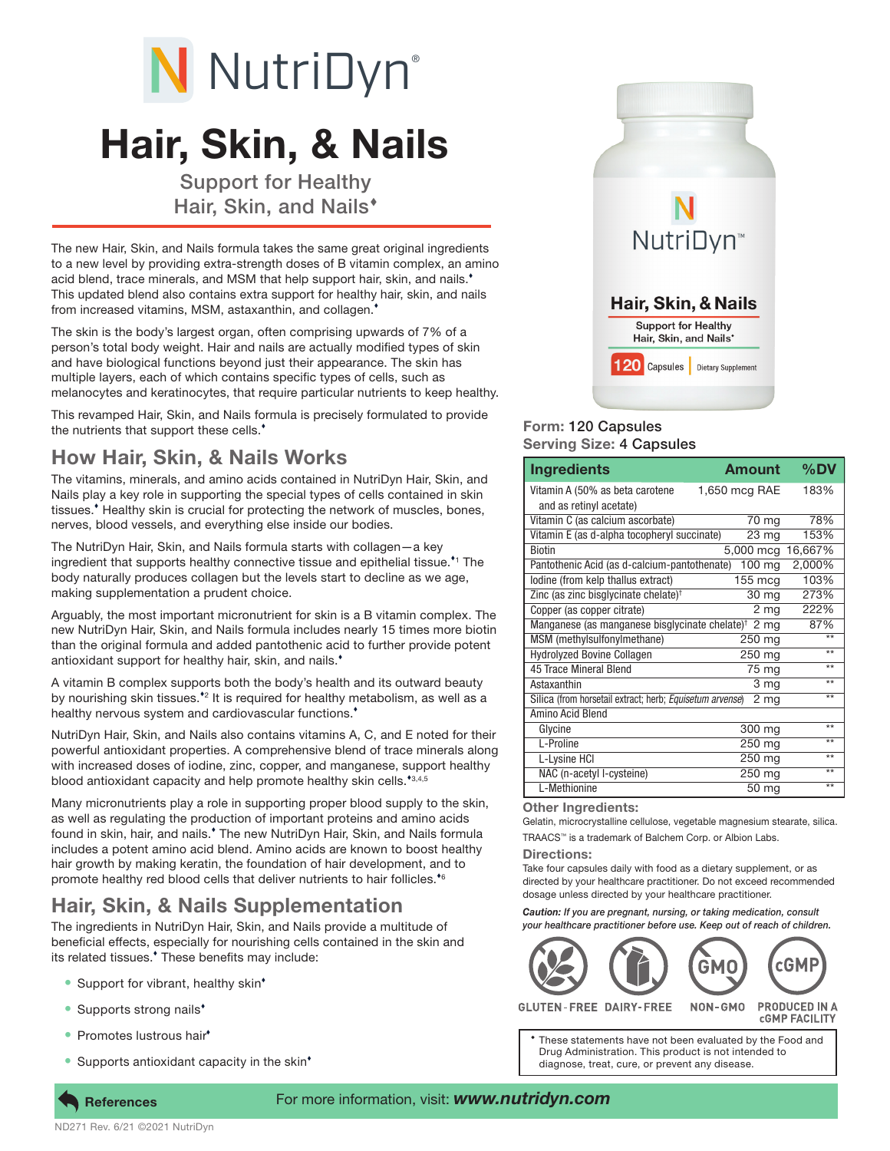# N NutriDyn®

# Hair, Skin, & Nails

Support for Healthy Hair, Skin, and Nails

The new Hair, Skin, and Nails formula takes the same great original ingredients to a new level by providing extra-strength doses of B vitamin complex, an amino acid blend, trace minerals, and MSM that help support hair, skin, and nails.<sup>\*</sup> This updated blend also contains extra support for healthy hair, skin, and nails from increased vitamins, MSM, astaxanthin, and collagen.

The skin is the body's largest organ, often comprising upwards of 7% of a person's total body weight. Hair and nails are actually modified types of skin and have biological functions beyond just their appearance. The skin has multiple layers, each of which contains specific types of cells, such as melanocytes and keratinocytes, that require particular nutrients to keep healthy.

This revamped Hair, Skin, and Nails formula is precisely formulated to provide the nutrients that support these cells.

### How Hair, Skin, & Nails Works

The vitamins, minerals, and amino acids contained in NutriDyn Hair, Skin, and Nails play a key role in supporting the special types of cells contained in skin tissues. Healthy skin is crucial for protecting the network of muscles, bones, nerves, blood vessels, and everything else inside our bodies.

The NutriDyn Hair, Skin, and Nails formula starts with collagen—a key ingredient that supports healthy connective tissue and epithelial tissue.<sup>\*1</sup> The body naturally produces collagen but the levels start to decline as we age, making supplementation a prudent choice.

Arguably, the most important micronutrient for skin is a B vitamin complex. The new NutriDyn Hair, Skin, and Nails formula includes nearly 15 times more biotin than the original formula and added pantothenic acid to further provide potent antioxidant support for healthy hair, skin, and nails.<sup>\*</sup>

A vitamin B complex supports both the body's health and its outward beauty by nourishing skin tissues.<sup>\*</sup> It is required for healthy metabolism, as well as a healthy nervous system and cardiovascular functions.<sup>\*</sup>

NutriDyn Hair, Skin, and Nails also contains vitamins A, C, and E noted for their powerful antioxidant properties. A comprehensive blend of trace minerals along with increased doses of iodine, zinc, copper, and manganese, support healthy blood antioxidant capacity and help promote healthy skin cells.\*3,4,5

Many micronutrients play a role in supporting proper blood supply to the skin, as well as regulating the production of important proteins and amino acids found in skin, hair, and nails.<sup>\*</sup> The new NutriDyn Hair, Skin, and Nails formula includes a potent amino acid blend. Amino acids are known to boost healthy hair growth by making keratin, the foundation of hair development, and to promote healthy red blood cells that deliver nutrients to hair follicles.<sup>\*6</sup>

## Hair, Skin, & Nails Supplementation

The ingredients in NutriDyn Hair, Skin, and Nails provide a multitude of beneficial effects, especially for nourishing cells contained in the skin and its related tissues.<sup>\*</sup> These benefits may include:

- Support for vibrant, healthy skin<sup>\*</sup>
- Supports strong nails<sup>\*</sup>
- Promotes lustrous hair<sup>\*</sup>
- Supports antioxidant capacity in the skin<sup>\*</sup>



#### Form: 120 Capsules Serving Size: 4 Capsules

| <b>Ingredients</b>                                         | <b>Amount</b>   | %DV     |
|------------------------------------------------------------|-----------------|---------|
| Vitamin A (50% as beta carotene                            | 1,650 mcg RAE   | 183%    |
| and as retinyl acetate)                                    |                 |         |
| Vitamin C (as calcium ascorbate)                           | 70 mg           | 78%     |
| Vitamin E (as d-alpha tocopheryl succinate)                | 23 mg           | 153%    |
| <b>Biotin</b>                                              | 5,000 mcg       | 16,667% |
| Pantothenic Acid (as d-calcium-pantothenate) 100 mg        |                 | 2,000%  |
| lodine (from kelp thallus extract)                         | 155 mcg         | 103%    |
| Zinc (as zinc bisglycinate chelate) <sup>†</sup>           | 30 mg           | 273%    |
| Copper (as copper citrate)                                 | $2 \, mg$       | 222%    |
| Manganese (as manganese bisglycinate chelate) <sup>†</sup> | 2 <sub>mg</sub> | 87%     |
| MSM (methylsulfonylmethane)                                | 250 mg          | $**$    |
| <b>Hydrolyzed Bovine Collagen</b>                          | 250 mg          | $**$    |
| 45 Trace Mineral Blend                                     | 75 mg           | $**$    |
| Astaxanthin                                                | 3 mg            | $**$    |
| Silica (from horsetail extract; herb; Equisetum arvense)   | 2 <sub>mg</sub> | $**$    |
| Amino Acid Blend                                           |                 |         |
| Glycine                                                    | 300 mg          | $**$    |
| L-Proline                                                  | 250 mg          | $**$    |
| L-Lysine HCI                                               | $250$ mg        | $**$    |
| NAC (n-acetyl I-cysteine)                                  | $250$ mg        | $**$    |
| L-Methionine                                               | 50 mg           | $**$    |

#### Other Ingredients:

Gelatin, microcrystalline cellulose, vegetable magnesium stearate, silica.

TRAACS™ is a trademark of Balchem Corp. or Albion Labs.

#### Directions:

Take four capsules daily with food as a dietary supplement, or as directed by your healthcare practitioner. Do not exceed recommended dosage unless directed by your healthcare practitioner.

*Caution: If you are pregnant, nursing, or taking medication, consult your healthcare practitioner before use. Keep out of reach of children.*



**GLUTEN-FREE DAIRY-FREE** NON-GMO **PRODUCED IN A CGMP FACILITY** 

These statements have not been evaluated by the Food and Drug Administration. This product is not intended to diagnose, treat, cure, or prevent any disease.

ND271 Rev. 6/21 ©2021 NutriDyn **References** 

#### For more information, visit: *www.nutridyn.com*